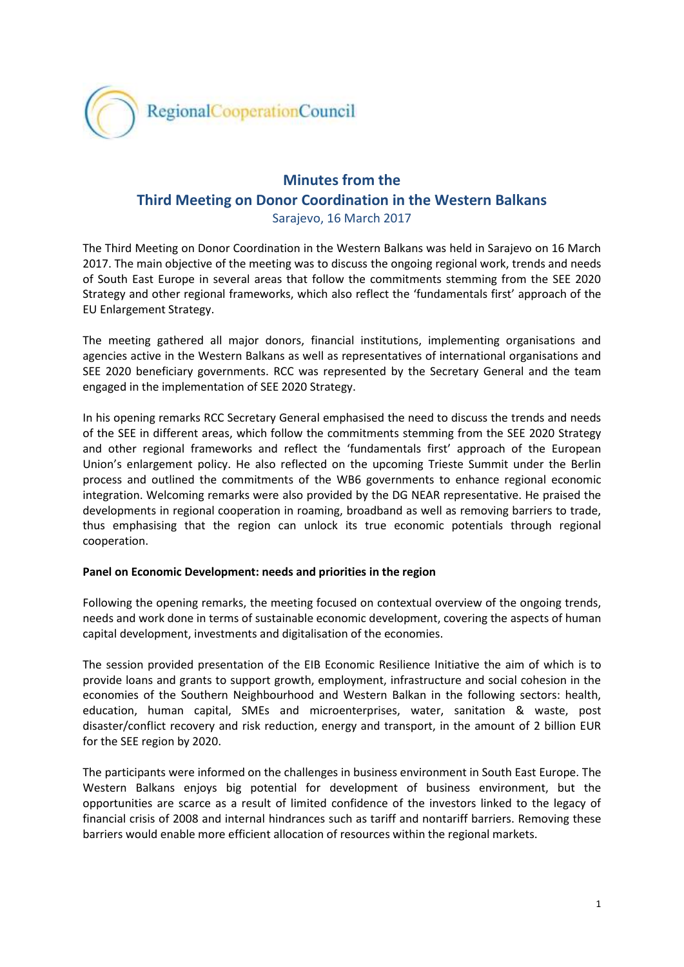

## **Minutes from the Third Meeting on Donor Coordination in the Western Balkans**

Sarajevo, 16 March 2017

The Third Meeting on Donor Coordination in the Western Balkans was held in Sarajevo on 16 March 2017. The main objective of the meeting was to discuss the ongoing regional work, trends and needs of South East Europe in several areas that follow the commitments stemming from the SEE 2020 Strategy and other regional frameworks, which also reflect the 'fundamentals first' approach of the EU Enlargement Strategy.

The meeting gathered all major donors, financial institutions, implementing organisations and agencies active in the Western Balkans as well as representatives of international organisations and SEE 2020 beneficiary governments. RCC was represented by the Secretary General and the team engaged in the implementation of SEE 2020 Strategy.

In his opening remarks RCC Secretary General emphasised the need to discuss the trends and needs of the SEE in different areas, which follow the commitments stemming from the SEE 2020 Strategy and other regional frameworks and reflect the 'fundamentals first' approach of the European Union's enlargement policy. He also reflected on the upcoming Trieste Summit under the Berlin process and outlined the commitments of the WB6 governments to enhance regional economic integration. Welcoming remarks were also provided by the DG NEAR representative. He praised the developments in regional cooperation in roaming, broadband as well as removing barriers to trade, thus emphasising that the region can unlock its true economic potentials through regional cooperation.

## **Panel on Economic Development: needs and priorities in the region**

Following the opening remarks, the meeting focused on contextual overview of the ongoing trends, needs and work done in terms of sustainable economic development, covering the aspects of human capital development, investments and digitalisation of the economies.

The session provided presentation of the EIB Economic Resilience Initiative the aim of which is to provide loans and grants to support growth, employment, infrastructure and social cohesion in the economies of the Southern Neighbourhood and Western Balkan in the following sectors: health, education, human capital, SMEs and microenterprises, water, sanitation & waste, post disaster/conflict recovery and risk reduction, energy and transport, in the amount of 2 billion EUR for the SEE region by 2020.

The participants were informed on the challenges in business environment in South East Europe. The Western Balkans enjoys big potential for development of business environment, but the opportunities are scarce as a result of limited confidence of the investors linked to the legacy of financial crisis of 2008 and internal hindrances such as tariff and nontariff barriers. Removing these barriers would enable more efficient allocation of resources within the regional markets.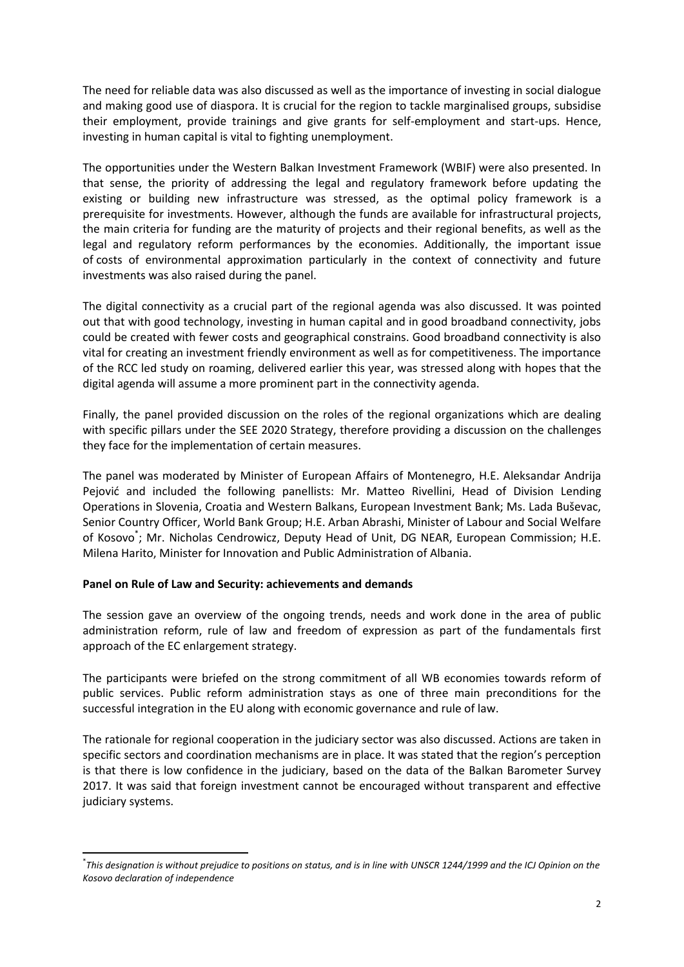The need for reliable data was also discussed as well as the importance of investing in social dialogue and making good use of diaspora. It is crucial for the region to tackle marginalised groups, subsidise their employment, provide trainings and give grants for self-employment and start-ups. Hence, investing in human capital is vital to fighting unemployment.

The opportunities under the Western Balkan Investment Framework (WBIF) were also presented. In that sense, the priority of addressing the legal and regulatory framework before updating the existing or building new infrastructure was stressed, as the optimal policy framework is a prerequisite for investments. However, although the funds are available for infrastructural projects, the main criteria for funding are the maturity of projects and their regional benefits, as well as the legal and regulatory reform performances by the economies. Additionally, the important issue of costs of environmental approximation particularly in the context of connectivity and future investments was also raised during the panel.

The digital connectivity as a crucial part of the regional agenda was also discussed. It was pointed out that with good technology, investing in human capital and in good broadband connectivity, jobs could be created with fewer costs and geographical constrains. Good broadband connectivity is also vital for creating an investment friendly environment as well as for competitiveness. The importance of the RCC led study on roaming, delivered earlier this year, was stressed along with hopes that the digital agenda will assume a more prominent part in the connectivity agenda.

Finally, the panel provided discussion on the roles of the regional organizations which are dealing with specific pillars under the SEE 2020 Strategy, therefore providing a discussion on the challenges they face for the implementation of certain measures.

The panel was moderated by Minister of European Affairs of Montenegro, H.E. Aleksandar Andrija Pejović and included the following panellists: Mr. Matteo Rivellini, Head of Division Lending Operations in Slovenia, Croatia and Western Balkans, European Investment Bank; Ms. Lada Buševac, Senior Country Officer, World Bank Group; H.E. Arban Abrashi, Minister of Labour and Social Welfare of Kosovo<sup>\*</sup>; Mr. Nicholas Cendrowicz, Deputy Head of Unit, DG NEAR, European Commission; H.E. Milena Harito, Minister for Innovation and Public Administration of Albania.

## **Panel on Rule of Law and Security: achievements and demands**

**.** 

The session gave an overview of the ongoing trends, needs and work done in the area of public administration reform, rule of law and freedom of expression as part of the fundamentals first approach of the EC enlargement strategy.

The participants were briefed on the strong commitment of all WB economies towards reform of public services. Public reform administration stays as one of three main preconditions for the successful integration in the EU along with economic governance and rule of law.

The rationale for regional cooperation in the judiciary sector was also discussed. Actions are taken in specific sectors and coordination mechanisms are in place. It was stated that the region's perception is that there is low confidence in the judiciary, based on the data of the Balkan Barometer Survey 2017. It was said that foreign investment cannot be encouraged without transparent and effective judiciary systems.

<sup>\*</sup> *This designation is without prejudice to positions on status, and is in line with UNSCR 1244/1999 and the ICJ Opinion on the Kosovo declaration of independence*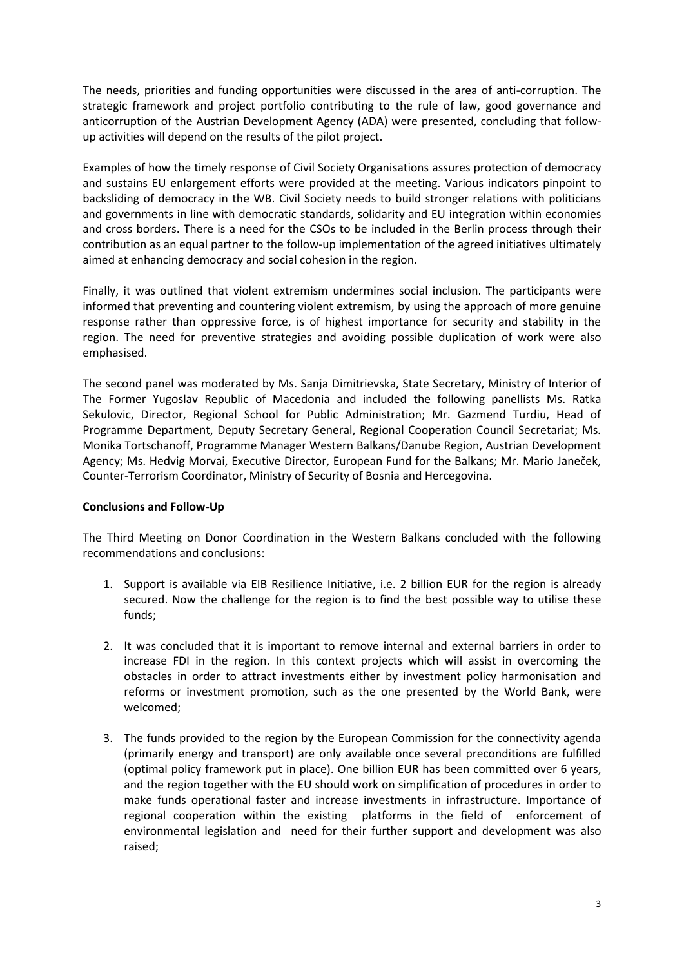The needs, priorities and funding opportunities were discussed in the area of anti-corruption. The strategic framework and project portfolio contributing to the rule of law, good governance and anticorruption of the Austrian Development Agency (ADA) were presented, concluding that followup activities will depend on the results of the pilot project.

Examples of how the timely response of Civil Society Organisations assures protection of democracy and sustains EU enlargement efforts were provided at the meeting. Various indicators pinpoint to backsliding of democracy in the WB. Civil Society needs to build stronger relations with politicians and governments in line with democratic standards, solidarity and EU integration within economies and cross borders. There is a need for the CSOs to be included in the Berlin process through their contribution as an equal partner to the follow-up implementation of the agreed initiatives ultimately aimed at enhancing democracy and social cohesion in the region.

Finally, it was outlined that violent extremism undermines social inclusion. The participants were informed that preventing and countering violent extremism, by using the approach of more genuine response rather than oppressive force, is of highest importance for security and stability in the region. The need for preventive strategies and avoiding possible duplication of work were also emphasised.

The second panel was moderated by Ms. Sanja Dimitrievska, State Secretary, Ministry of Interior of The Former Yugoslav Republic of Macedonia and included the following panellists Ms. Ratka Sekulovic, Director, Regional School for Public Administration; Mr. Gazmend Turdiu, Head of Programme Department, Deputy Secretary General, Regional Cooperation Council Secretariat; Ms. Monika Tortschanoff, Programme Manager Western Balkans/Danube Region, Austrian Development Agency; Ms. Hedvig Morvai, Executive Director, European Fund for the Balkans; Mr. Mario Janeček, Counter-Terrorism Coordinator, Ministry of Security of Bosnia and Hercegovina.

## **Conclusions and Follow-Up**

The Third Meeting on Donor Coordination in the Western Balkans concluded with the following recommendations and conclusions:

- 1. Support is available via EIB Resilience Initiative, i.e. 2 billion EUR for the region is already secured. Now the challenge for the region is to find the best possible way to utilise these funds;
- 2. It was concluded that it is important to remove internal and external barriers in order to increase FDI in the region. In this context projects which will assist in overcoming the obstacles in order to attract investments either by investment policy harmonisation and reforms or investment promotion, such as the one presented by the World Bank, were welcomed;
- 3. The funds provided to the region by the European Commission for the connectivity agenda (primarily energy and transport) are only available once several preconditions are fulfilled (optimal policy framework put in place). One billion EUR has been committed over 6 years, and the region together with the EU should work on simplification of procedures in order to make funds operational faster and increase investments in infrastructure. Importance of regional cooperation within the existing platforms in the field of enforcement of environmental legislation and need for their further support and development was also raised;